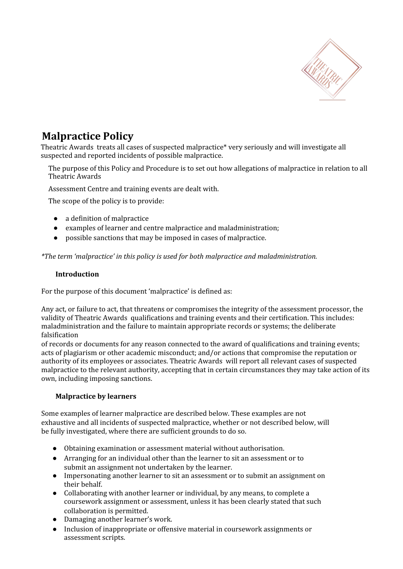

# **Malpractice Policy**

Theatric Awards treats all cases of suspected malpractice\* very seriously and will investigate all suspected and reported incidents of possible malpractice.

The purpose of this Policy and Procedure is to set out how allegations of malpractice in relation to all Theatric Awards

Assessment Centre and training events are dealt with.

The scope of the policy is to provide:

- a definition of malpractice
- examples of learner and centre malpractice and maladministration;
- possible sanctions that may be imposed in cases of malpractice.

*\*The term 'malpractice' in this policy is used for both malpractice and maladministration.*

### **Introduction**

For the purpose of this document 'malpractice' is defined as:

Any act, or failure to act, that threatens or compromises the integrity of the assessment processor, the validity of Theatric Awards qualifications and training events and their certification. This includes: maladministration and the failure to maintain appropriate records or systems; the deliberate falsification

of records or documents for any reason connected to the award of qualifications and training events; acts of plagiarism or other academic misconduct; and/or actions that compromise the reputation or authority of its employees or associates. Theatric Awards will report all relevant cases of suspected malpractice to the relevant authority, accepting that in certain circumstances they may take action of its own, including imposing sanctions.

# **Malpractice by learners**

Some examples of learner malpractice are described below. These examples are not exhaustive and all incidents of suspected malpractice, whether or not described below, will be fully investigated, where there are sufficient grounds to do so.

- Obtaining examination or assessment material without authorisation.
- Arranging for an individual other than the learner to sit an assessment or to submit an assignment not undertaken by the learner.
- Impersonating another learner to sit an assessment or to submit an assignment on their behalf.
- Collaborating with another learner or individual, by any means, to complete a coursework assignment or assessment, unless it has been clearly stated that such collaboration is permitted.
- Damaging another learner's work.
- Inclusion of inappropriate or offensive material in coursework assignments or assessment scripts.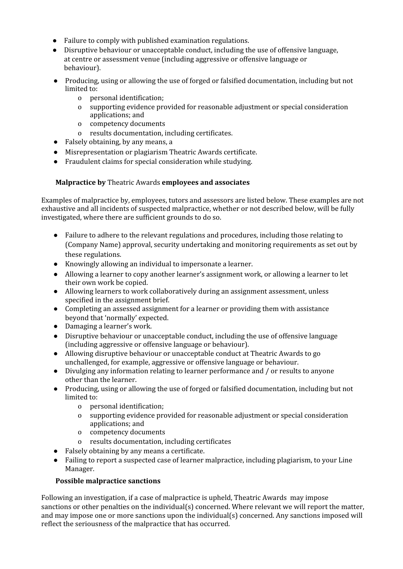- Failure to comply with published examination regulations.
- Disruptive behaviour or unacceptable conduct, including the use of offensive language, at centre or assessment venue (including aggressive or offensive language or behaviour).
- Producing, using or allowing the use of forged or falsified documentation, including but not limited to:
	- o personal identification;
	- o supporting evidence provided for reasonable adjustment or special consideration applications; and
	- o competency documents
	- o results documentation, including certificates.
- Falsely obtaining, by any means, a
- Misrepresentation or plagiarism Theatric Awards certificate.
- Fraudulent claims for special consideration while studying.

### **Malpractice by** Theatric Awards **employees and associates**

Examples of malpractice by, employees, tutors and assessors are listed below. These examples are not exhaustive and all incidents of suspected malpractice, whether or not described below, will be fully investigated, where there are sufficient grounds to do so.

- Failure to adhere to the relevant regulations and procedures, including those relating to (Company Name) approval, security undertaking and monitoring requirements as set out by these regulations.
- Knowingly allowing an individual to impersonate a learner.
- Allowing a learner to copy another learner's assignment work, or allowing a learner to let their own work be copied.
- Allowing learners to work collaboratively during an assignment assessment, unless specified in the assignment brief.
- Completing an assessed assignment for a learner or providing them with assistance beyond that 'normally' expected.
- Damaging a learner's work.
- Disruptive behaviour or unacceptable conduct, including the use of offensive language (including aggressive or offensive language or behaviour).
- Allowing disruptive behaviour or unacceptable conduct at Theatric Awards to go unchallenged, for example, aggressive or offensive language or behaviour.
- Divulging any information relating to learner performance and / or results to anyone other than the learner.
- Producing, using or allowing the use of forged or falsified documentation, including but not limited to:
	- o personal identification;
	- o supporting evidence provided for reasonable adjustment or special consideration applications; and
	- o competency documents
	- o results documentation, including certificates
- Falsely obtaining by any means a certificate.
- Failing to report a suspected case of learner malpractice, including plagiarism, to your Line Manager.

#### **Possible malpractice sanctions**

Following an investigation, if a case of malpractice is upheld, Theatric Awards may impose sanctions or other penalties on the individual(s) concerned. Where relevant we will report the matter, and may impose one or more sanctions upon the individual(s) concerned. Any sanctions imposed will reflect the seriousness of the malpractice that has occurred.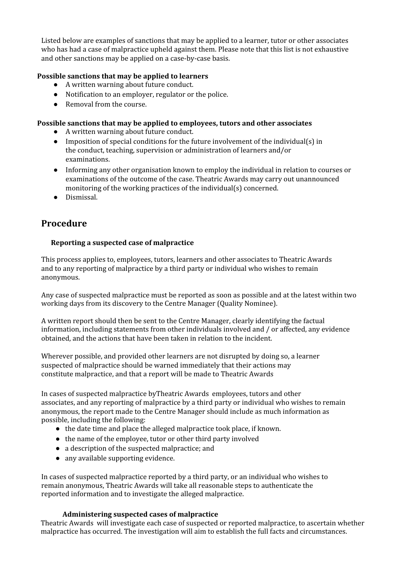Listed below are examples of sanctions that may be applied to a learner, tutor or other associates who has had a case of malpractice upheld against them. Please note that this list is not exhaustive and other sanctions may be applied on a case-by-case basis.

## **Possible sanctions that may be applied to learners**

- A written warning about future conduct.
- Notification to an employer, regulator or the police.
- Removal from the course.

#### **Possible sanctions that may be applied to employees, tutors and other associates**

- A written warning about future conduct.
- Imposition of special conditions for the future involvement of the individual(s) in the conduct, teaching, supervision or administration of learners and/or examinations.
- Informing any other organisation known to employ the individual in relation to courses or examinations of the outcome of the case. Theatric Awards may carry out unannounced monitoring of the working practices of the individual(s) concerned.
- Dismissal.

# **Procedure**

### **Reporting a suspected case of malpractice**

This process applies to, employees, tutors, learners and other associates to Theatric Awards and to any reporting of malpractice by a third party or individual who wishes to remain anonymous.

Any case of suspected malpractice must be reported as soon as possible and at the latest within two working days from its discovery to the Centre Manager (Quality Nominee).

A written report should then be sent to the Centre Manager, clearly identifying the factual information, including statements from other individuals involved and / or affected, any evidence obtained, and the actions that have been taken in relation to the incident.

Wherever possible, and provided other learners are not disrupted by doing so, a learner suspected of malpractice should be warned immediately that their actions may constitute malpractice, and that a report will be made to Theatric Awards

In cases of suspected malpractice byTheatric Awards employees, tutors and other associates, and any reporting of malpractice by a third party or individual who wishes to remain anonymous, the report made to the Centre Manager should include as much information as possible, including the following:

- the date time and place the alleged malpractice took place, if known.
- the name of the employee, tutor or other third party involved
- a description of the suspected malpractice; and
- any available supporting evidence.

In cases of suspected malpractice reported by a third party, or an individual who wishes to remain anonymous, Theatric Awards will take all reasonable steps to authenticate the reported information and to investigate the alleged malpractice.

#### **Administering suspected cases of malpractice**

Theatric Awards will investigate each case of suspected or reported malpractice, to ascertain whether malpractice has occurred. The investigation will aim to establish the full facts and circumstances.